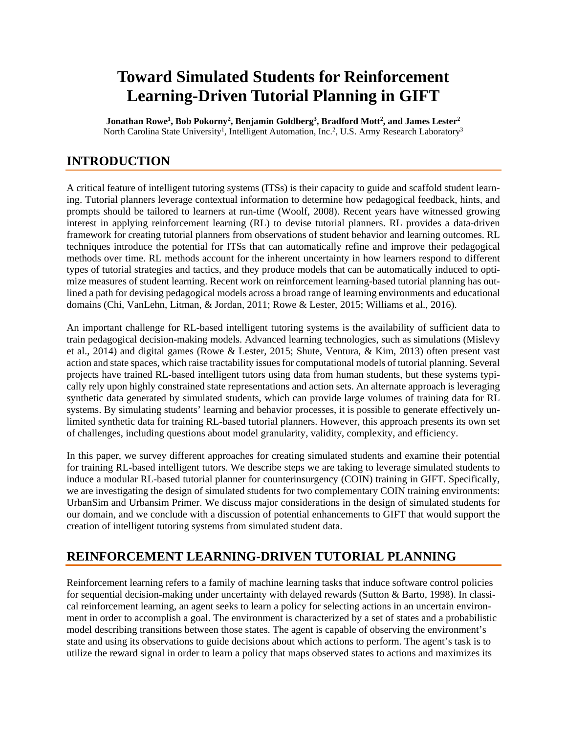# **Toward Simulated Students for Reinforcement Learning-Driven Tutorial Planning in GIFT**

**Jonathan Rowe1 , Bob Pokorny2 , Benjamin Goldberg3 , Bradford Mott2 , and James Lester2** North Carolina State University<sup>1</sup>, Intelligent Automation, Inc.<sup>2</sup>, U.S. Army Research Laboratory<sup>3</sup>

## **INTRODUCTION**

A critical feature of intelligent tutoring systems (ITSs) is their capacity to guide and scaffold student learning. Tutorial planners leverage contextual information to determine how pedagogical feedback, hints, and prompts should be tailored to learners at run-time (Woolf, 2008). Recent years have witnessed growing interest in applying reinforcement learning (RL) to devise tutorial planners. RL provides a data-driven framework for creating tutorial planners from observations of student behavior and learning outcomes. RL techniques introduce the potential for ITSs that can automatically refine and improve their pedagogical methods over time. RL methods account for the inherent uncertainty in how learners respond to different types of tutorial strategies and tactics, and they produce models that can be automatically induced to optimize measures of student learning. Recent work on reinforcement learning-based tutorial planning has outlined a path for devising pedagogical models across a broad range of learning environments and educational domains (Chi, VanLehn, Litman, & Jordan, 2011; Rowe & Lester, 2015; Williams et al., 2016).

An important challenge for RL-based intelligent tutoring systems is the availability of sufficient data to train pedagogical decision-making models. Advanced learning technologies, such as simulations (Mislevy et al., 2014) and digital games (Rowe & Lester, 2015; Shute, Ventura, & Kim, 2013) often present vast action and state spaces, which raise tractability issues for computational models of tutorial planning. Several projects have trained RL-based intelligent tutors using data from human students, but these systems typically rely upon highly constrained state representations and action sets. An alternate approach is leveraging synthetic data generated by simulated students, which can provide large volumes of training data for RL systems. By simulating students' learning and behavior processes, it is possible to generate effectively unlimited synthetic data for training RL-based tutorial planners. However, this approach presents its own set of challenges, including questions about model granularity, validity, complexity, and efficiency.

In this paper, we survey different approaches for creating simulated students and examine their potential for training RL-based intelligent tutors. We describe steps we are taking to leverage simulated students to induce a modular RL-based tutorial planner for counterinsurgency (COIN) training in GIFT. Specifically, we are investigating the design of simulated students for two complementary COIN training environments: UrbanSim and Urbansim Primer. We discuss major considerations in the design of simulated students for our domain, and we conclude with a discussion of potential enhancements to GIFT that would support the creation of intelligent tutoring systems from simulated student data.

### **REINFORCEMENT LEARNING-DRIVEN TUTORIAL PLANNING**

Reinforcement learning refers to a family of machine learning tasks that induce software control policies for sequential decision-making under uncertainty with delayed rewards (Sutton & Barto, 1998). In classical reinforcement learning, an agent seeks to learn a policy for selecting actions in an uncertain environment in order to accomplish a goal. The environment is characterized by a set of states and a probabilistic model describing transitions between those states. The agent is capable of observing the environment's state and using its observations to guide decisions about which actions to perform. The agent's task is to utilize the reward signal in order to learn a policy that maps observed states to actions and maximizes its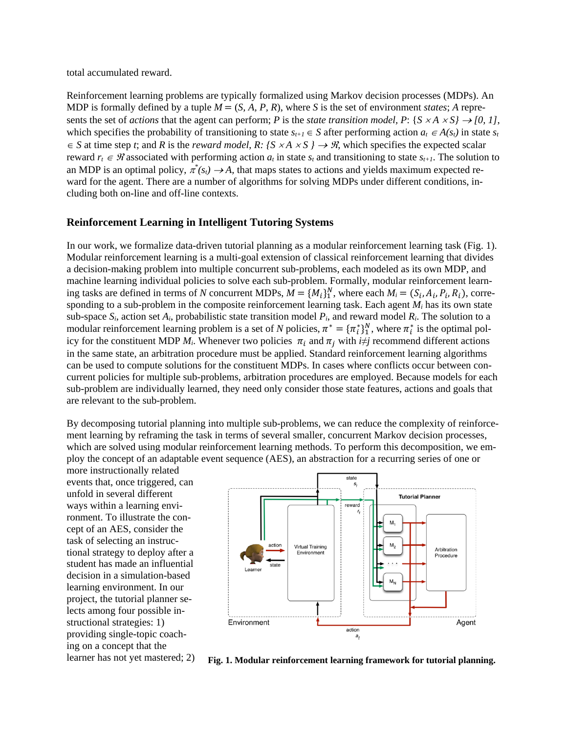total accumulated reward.

Reinforcement learning problems are typically formalized using Markov decision processes (MDPs). An MDP is formally defined by a tuple  $M = (S, A, P, R)$ , where *S* is the set of environment *states*; *A* represents the set of *actions* that the agent can perform; *P* is the *state transition model*, *P*: {*S* × *A* × *S*}  $\rightarrow$  [0, 1], which specifies the probability of transitioning to state  $s_{t+1} \in S$  after performing action  $a_t \in A(s_t)$  in state  $s_t$  $\in$  *S* at time step *t*; and *R* is the *reward model*, *R*: {*S* × *A* × *S* } → *H*, which specifies the expected scalar reward  $r_t \in \mathcal{R}$  associated with performing action  $a_t$  in state  $s_t$  and transitioning to state  $s_{t+1}$ . The solution to an MDP is an optimal policy,  $\pi^*(s_t) \to A$ , that maps states to actions and yields maximum expected reward for the agent. There are a number of algorithms for solving MDPs under different conditions, including both on-line and off-line contexts.

#### **Reinforcement Learning in Intelligent Tutoring Systems**

In our work, we formalize data-driven tutorial planning as a modular reinforcement learning task (Fig. 1). Modular reinforcement learning is a multi-goal extension of classical reinforcement learning that divides a decision-making problem into multiple concurrent sub-problems, each modeled as its own MDP, and machine learning individual policies to solve each sub-problem. Formally, modular reinforcement learning tasks are defined in terms of *N* concurrent MDPs,  $M = \{M_i\}_{1}^{N}$ , where each  $M_i = (S_i, A_i, P_i, R_i)$ , corresponding to a sub-problem in the composite reinforcement learning task. Each agent *Mi* has its own state sub-space  $S_i$ , action set  $A_i$ , probabilistic state transition model  $P_i$ , and reward model  $R_i$ . The solution to a modular reinforcement learning problem is a set of *N* policies,  $\pi^* = {\pi_i^*}^N_1$ , where  $\pi_i^*$  is the optimal policy for the constituent MDP  $M_i$ . Whenever two policies  $\pi_i$  and  $\pi_j$  with  $i \neq j$  recommend different actions in the same state, an arbitration procedure must be applied. Standard reinforcement learning algorithms can be used to compute solutions for the constituent MDPs. In cases where conflicts occur between concurrent policies for multiple sub-problems, arbitration procedures are employed. Because models for each sub-problem are individually learned, they need only consider those state features, actions and goals that are relevant to the sub-problem.

By decomposing tutorial planning into multiple sub-problems, we can reduce the complexity of reinforcement learning by reframing the task in terms of several smaller, concurrent Markov decision processes, which are solved using modular reinforcement learning methods. To perform this decomposition, we employ the concept of an adaptable event sequence (AES), an abstraction for a recurring series of one or

more instructionally related events that, once triggered, can unfold in several different ways within a learning environment. To illustrate the concept of an AES, consider the task of selecting an instructional strategy to deploy after a student has made an influential decision in a simulation-based learning environment. In our project, the tutorial planner selects among four possible instructional strategies: 1) providing single-topic coaching on a concept that the



learner has not yet mastered; 2) **Fig. 1. Modular reinforcement learning framework for tutorial planning.**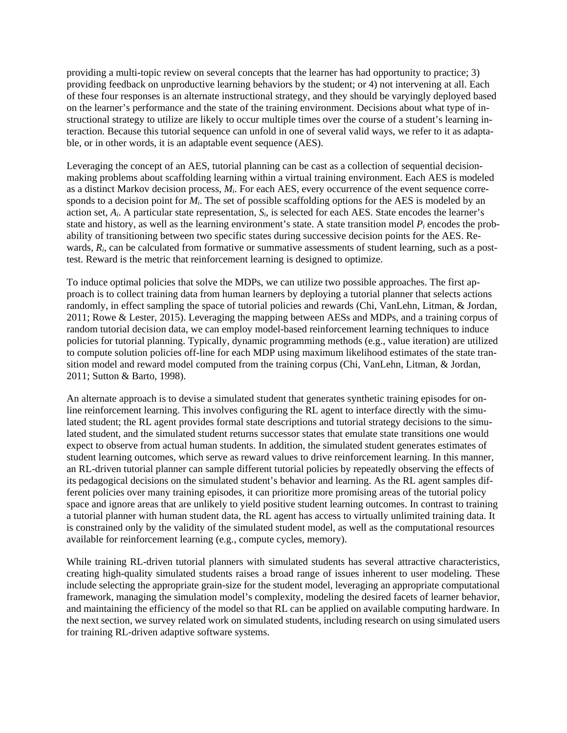providing a multi-topic review on several concepts that the learner has had opportunity to practice; 3) providing feedback on unproductive learning behaviors by the student; or 4) not intervening at all. Each of these four responses is an alternate instructional strategy, and they should be varyingly deployed based on the learner's performance and the state of the training environment. Decisions about what type of instructional strategy to utilize are likely to occur multiple times over the course of a student's learning interaction. Because this tutorial sequence can unfold in one of several valid ways, we refer to it as adaptable, or in other words, it is an adaptable event sequence (AES).

Leveraging the concept of an AES, tutorial planning can be cast as a collection of sequential decisionmaking problems about scaffolding learning within a virtual training environment. Each AES is modeled as a distinct Markov decision process, *Mi*. For each AES, every occurrence of the event sequence corresponds to a decision point for  $M_i$ . The set of possible scaffolding options for the AES is modeled by an action set, *Ai*. A particular state representation, *Si*, is selected for each AES. State encodes the learner's state and history, as well as the learning environment's state. A state transition model  $P_i$  encodes the probability of transitioning between two specific states during successive decision points for the AES. Rewards,  $R_i$ , can be calculated from formative or summative assessments of student learning, such as a posttest. Reward is the metric that reinforcement learning is designed to optimize.

To induce optimal policies that solve the MDPs, we can utilize two possible approaches. The first approach is to collect training data from human learners by deploying a tutorial planner that selects actions randomly, in effect sampling the space of tutorial policies and rewards (Chi, VanLehn, Litman, & Jordan, 2011; Rowe & Lester, 2015). Leveraging the mapping between AESs and MDPs, and a training corpus of random tutorial decision data, we can employ model-based reinforcement learning techniques to induce policies for tutorial planning. Typically, dynamic programming methods (e.g., value iteration) are utilized to compute solution policies off-line for each MDP using maximum likelihood estimates of the state transition model and reward model computed from the training corpus (Chi, VanLehn, Litman, & Jordan, 2011; Sutton & Barto, 1998).

An alternate approach is to devise a simulated student that generates synthetic training episodes for online reinforcement learning. This involves configuring the RL agent to interface directly with the simulated student; the RL agent provides formal state descriptions and tutorial strategy decisions to the simulated student, and the simulated student returns successor states that emulate state transitions one would expect to observe from actual human students. In addition, the simulated student generates estimates of student learning outcomes, which serve as reward values to drive reinforcement learning. In this manner, an RL-driven tutorial planner can sample different tutorial policies by repeatedly observing the effects of its pedagogical decisions on the simulated student's behavior and learning. As the RL agent samples different policies over many training episodes, it can prioritize more promising areas of the tutorial policy space and ignore areas that are unlikely to yield positive student learning outcomes. In contrast to training a tutorial planner with human student data, the RL agent has access to virtually unlimited training data. It is constrained only by the validity of the simulated student model, as well as the computational resources available for reinforcement learning (e.g., compute cycles, memory).

While training RL-driven tutorial planners with simulated students has several attractive characteristics, creating high-quality simulated students raises a broad range of issues inherent to user modeling. These include selecting the appropriate grain-size for the student model, leveraging an appropriate computational framework, managing the simulation model's complexity, modeling the desired facets of learner behavior, and maintaining the efficiency of the model so that RL can be applied on available computing hardware. In the next section, we survey related work on simulated students, including research on using simulated users for training RL-driven adaptive software systems.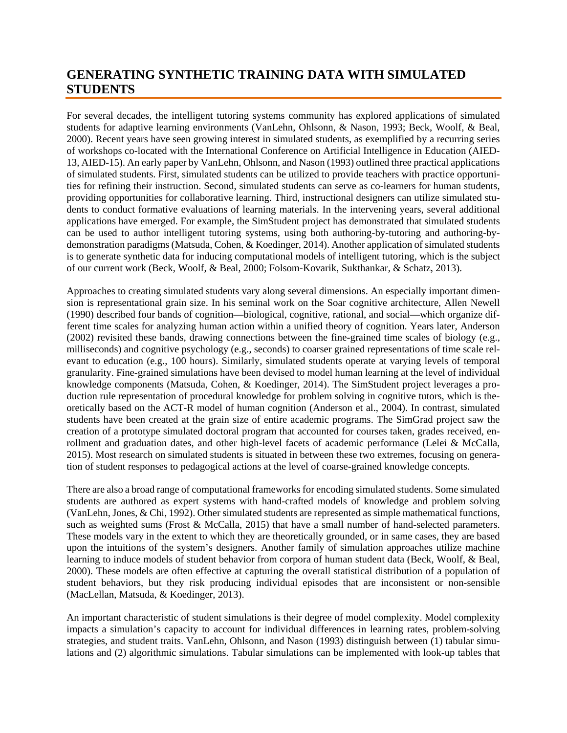### **GENERATING SYNTHETIC TRAINING DATA WITH SIMULATED STUDENTS**

For several decades, the intelligent tutoring systems community has explored applications of simulated students for adaptive learning environments (VanLehn, Ohlsonn, & Nason, 1993; Beck, Woolf, & Beal, 2000). Recent years have seen growing interest in simulated students, as exemplified by a recurring series of workshops co-located with the International Conference on Artificial Intelligence in Education (AIED-13, AIED-15). An early paper by VanLehn, Ohlsonn, and Nason (1993) outlined three practical applications of simulated students. First, simulated students can be utilized to provide teachers with practice opportunities for refining their instruction. Second, simulated students can serve as co-learners for human students, providing opportunities for collaborative learning. Third, instructional designers can utilize simulated students to conduct formative evaluations of learning materials. In the intervening years, several additional applications have emerged. For example, the SimStudent project has demonstrated that simulated students can be used to author intelligent tutoring systems, using both authoring-by-tutoring and authoring-bydemonstration paradigms (Matsuda, Cohen, & Koedinger, 2014). Another application of simulated students is to generate synthetic data for inducing computational models of intelligent tutoring, which is the subject of our current work (Beck, Woolf, & Beal, 2000; Folsom-Kovarik, Sukthankar, & Schatz, 2013).

Approaches to creating simulated students vary along several dimensions. An especially important dimension is representational grain size. In his seminal work on the Soar cognitive architecture, Allen Newell (1990) described four bands of cognition—biological, cognitive, rational, and social—which organize different time scales for analyzing human action within a unified theory of cognition. Years later, Anderson (2002) revisited these bands, drawing connections between the fine-grained time scales of biology (e.g., milliseconds) and cognitive psychology (e.g., seconds) to coarser grained representations of time scale relevant to education (e.g., 100 hours). Similarly, simulated students operate at varying levels of temporal granularity. Fine-grained simulations have been devised to model human learning at the level of individual knowledge components (Matsuda, Cohen, & Koedinger, 2014). The SimStudent project leverages a production rule representation of procedural knowledge for problem solving in cognitive tutors, which is theoretically based on the ACT-R model of human cognition (Anderson et al., 2004). In contrast, simulated students have been created at the grain size of entire academic programs. The SimGrad project saw the creation of a prototype simulated doctoral program that accounted for courses taken, grades received, enrollment and graduation dates, and other high-level facets of academic performance (Lelei & McCalla, 2015). Most research on simulated students is situated in between these two extremes, focusing on generation of student responses to pedagogical actions at the level of coarse-grained knowledge concepts.

There are also a broad range of computational frameworks for encoding simulated students. Some simulated students are authored as expert systems with hand-crafted models of knowledge and problem solving (VanLehn, Jones, & Chi, 1992). Other simulated students are represented as simple mathematical functions, such as weighted sums (Frost & McCalla, 2015) that have a small number of hand-selected parameters. These models vary in the extent to which they are theoretically grounded, or in same cases, they are based upon the intuitions of the system's designers. Another family of simulation approaches utilize machine learning to induce models of student behavior from corpora of human student data (Beck, Woolf, & Beal, 2000). These models are often effective at capturing the overall statistical distribution of a population of student behaviors, but they risk producing individual episodes that are inconsistent or non-sensible (MacLellan, Matsuda, & Koedinger, 2013).

An important characteristic of student simulations is their degree of model complexity. Model complexity impacts a simulation's capacity to account for individual differences in learning rates, problem-solving strategies, and student traits. VanLehn, Ohlsonn, and Nason (1993) distinguish between (1) tabular simulations and (2) algorithmic simulations. Tabular simulations can be implemented with look-up tables that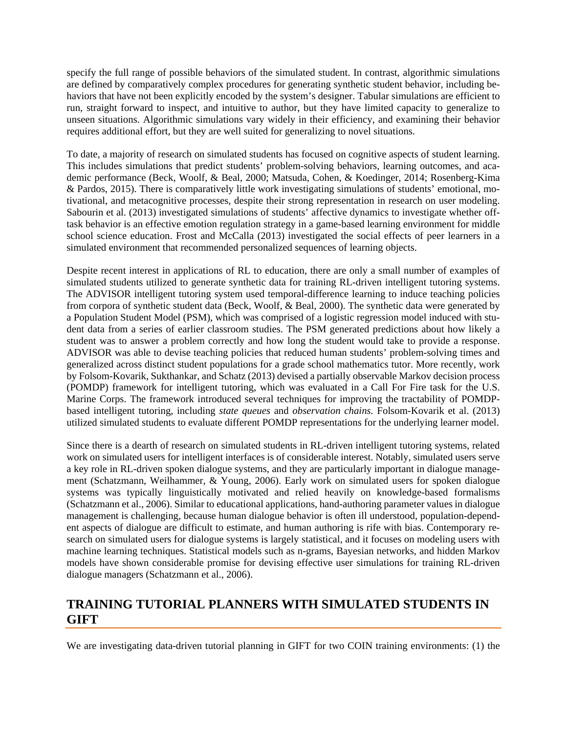specify the full range of possible behaviors of the simulated student. In contrast, algorithmic simulations are defined by comparatively complex procedures for generating synthetic student behavior, including behaviors that have not been explicitly encoded by the system's designer. Tabular simulations are efficient to run, straight forward to inspect, and intuitive to author, but they have limited capacity to generalize to unseen situations. Algorithmic simulations vary widely in their efficiency, and examining their behavior requires additional effort, but they are well suited for generalizing to novel situations.

To date, a majority of research on simulated students has focused on cognitive aspects of student learning. This includes simulations that predict students' problem-solving behaviors, learning outcomes, and academic performance (Beck, Woolf, & Beal, 2000; Matsuda, Cohen, & Koedinger, 2014; Rosenberg-Kima & Pardos, 2015). There is comparatively little work investigating simulations of students' emotional, motivational, and metacognitive processes, despite their strong representation in research on user modeling. Sabourin et al. (2013) investigated simulations of students' affective dynamics to investigate whether offtask behavior is an effective emotion regulation strategy in a game-based learning environment for middle school science education. Frost and McCalla (2013) investigated the social effects of peer learners in a simulated environment that recommended personalized sequences of learning objects.

Despite recent interest in applications of RL to education, there are only a small number of examples of simulated students utilized to generate synthetic data for training RL-driven intelligent tutoring systems. The ADVISOR intelligent tutoring system used temporal-difference learning to induce teaching policies from corpora of synthetic student data (Beck, Woolf, & Beal, 2000). The synthetic data were generated by a Population Student Model (PSM), which was comprised of a logistic regression model induced with student data from a series of earlier classroom studies. The PSM generated predictions about how likely a student was to answer a problem correctly and how long the student would take to provide a response. ADVISOR was able to devise teaching policies that reduced human students' problem-solving times and generalized across distinct student populations for a grade school mathematics tutor. More recently, work by Folsom-Kovarik, Sukthankar, and Schatz (2013) devised a partially observable Markov decision process (POMDP) framework for intelligent tutoring, which was evaluated in a Call For Fire task for the U.S. Marine Corps. The framework introduced several techniques for improving the tractability of POMDPbased intelligent tutoring, including *state queues* and *observation chains.* Folsom-Kovarik et al. (2013) utilized simulated students to evaluate different POMDP representations for the underlying learner model.

Since there is a dearth of research on simulated students in RL-driven intelligent tutoring systems, related work on simulated users for intelligent interfaces is of considerable interest. Notably, simulated users serve a key role in RL-driven spoken dialogue systems, and they are particularly important in dialogue management (Schatzmann, Weilhammer, & Young, 2006). Early work on simulated users for spoken dialogue systems was typically linguistically motivated and relied heavily on knowledge-based formalisms (Schatzmann et al., 2006). Similar to educational applications, hand-authoring parameter values in dialogue management is challenging, because human dialogue behavior is often ill understood, population-dependent aspects of dialogue are difficult to estimate, and human authoring is rife with bias. Contemporary research on simulated users for dialogue systems is largely statistical, and it focuses on modeling users with machine learning techniques. Statistical models such as n-grams, Bayesian networks, and hidden Markov models have shown considerable promise for devising effective user simulations for training RL-driven dialogue managers (Schatzmann et al., 2006).

### **TRAINING TUTORIAL PLANNERS WITH SIMULATED STUDENTS IN GIFT**

We are investigating data-driven tutorial planning in GIFT for two COIN training environments: (1) the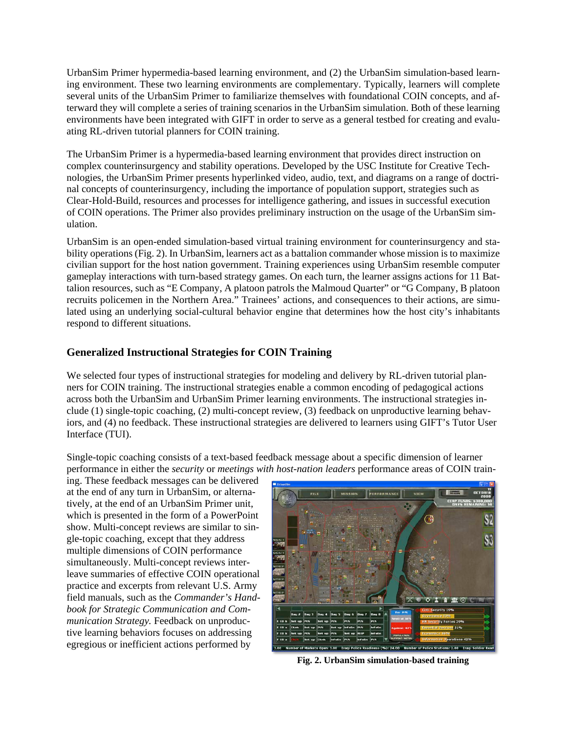UrbanSim Primer hypermedia-based learning environment, and (2) the UrbanSim simulation-based learning environment. These two learning environments are complementary. Typically, learners will complete several units of the UrbanSim Primer to familiarize themselves with foundational COIN concepts, and afterward they will complete a series of training scenarios in the UrbanSim simulation. Both of these learning environments have been integrated with GIFT in order to serve as a general testbed for creating and evaluating RL-driven tutorial planners for COIN training.

The UrbanSim Primer is a hypermedia-based learning environment that provides direct instruction on complex counterinsurgency and stability operations. Developed by the USC Institute for Creative Technologies, the UrbanSim Primer presents hyperlinked video, audio, text, and diagrams on a range of doctrinal concepts of counterinsurgency, including the importance of population support, strategies such as Clear-Hold-Build, resources and processes for intelligence gathering, and issues in successful execution of COIN operations. The Primer also provides preliminary instruction on the usage of the UrbanSim simulation.

UrbanSim is an open-ended simulation-based virtual training environment for counterinsurgency and stability operations (Fig. 2). In UrbanSim, learners act as a battalion commander whose mission is to maximize civilian support for the host nation government. Training experiences using UrbanSim resemble computer gameplay interactions with turn-based strategy games. On each turn, the learner assigns actions for 11 Battalion resources, such as "E Company, A platoon patrols the Malmoud Quarter" or "G Company, B platoon recruits policemen in the Northern Area." Trainees' actions, and consequences to their actions, are simulated using an underlying social-cultural behavior engine that determines how the host city's inhabitants respond to different situations.

#### **Generalized Instructional Strategies for COIN Training**

We selected four types of instructional strategies for modeling and delivery by RL-driven tutorial planners for COIN training. The instructional strategies enable a common encoding of pedagogical actions across both the UrbanSim and UrbanSim Primer learning environments. The instructional strategies include (1) single-topic coaching, (2) multi-concept review, (3) feedback on unproductive learning behaviors, and (4) no feedback. These instructional strategies are delivered to learners using GIFT's Tutor User Interface (TUI).

Single-topic coaching consists of a text-based feedback message about a specific dimension of learner performance in either the *security* or *meetings with host-nation leaders* performance areas of COIN train-

ing. These feedback messages can be delivered at the end of any turn in UrbanSim, or alternatively, at the end of an UrbanSim Primer unit, which is presented in the form of a PowerPoint show. Multi-concept reviews are similar to single-topic coaching, except that they address multiple dimensions of COIN performance simultaneously. Multi-concept reviews interleave summaries of effective COIN operational practice and excerpts from relevant U.S. Army field manuals, such as the *Commander's Handbook for Strategic Communication and Communication Strategy.* Feedback on unproductive learning behaviors focuses on addressing egregious or inefficient actions performed by



**Fig. 2. UrbanSim simulation-based training**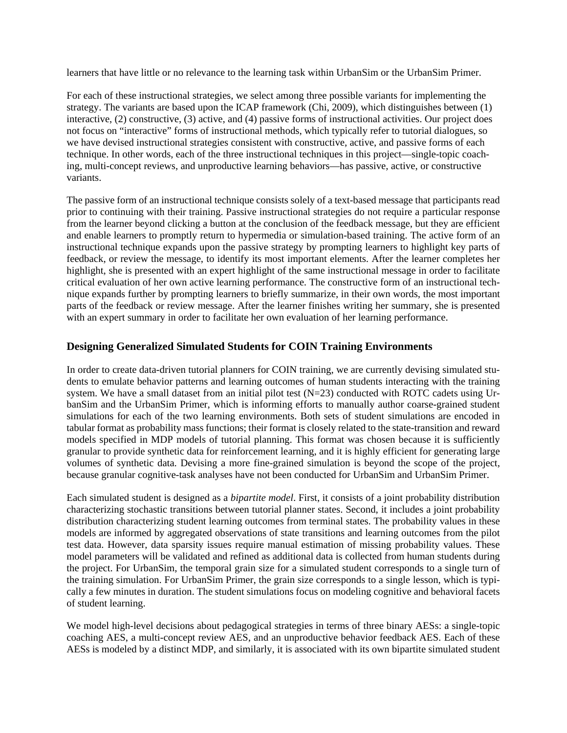learners that have little or no relevance to the learning task within UrbanSim or the UrbanSim Primer.

For each of these instructional strategies, we select among three possible variants for implementing the strategy. The variants are based upon the ICAP framework (Chi, 2009), which distinguishes between (1) interactive, (2) constructive, (3) active, and (4) passive forms of instructional activities. Our project does not focus on "interactive" forms of instructional methods, which typically refer to tutorial dialogues, so we have devised instructional strategies consistent with constructive, active, and passive forms of each technique. In other words, each of the three instructional techniques in this project—single-topic coaching, multi-concept reviews, and unproductive learning behaviors—has passive, active, or constructive variants.

The passive form of an instructional technique consists solely of a text-based message that participants read prior to continuing with their training. Passive instructional strategies do not require a particular response from the learner beyond clicking a button at the conclusion of the feedback message, but they are efficient and enable learners to promptly return to hypermedia or simulation-based training. The active form of an instructional technique expands upon the passive strategy by prompting learners to highlight key parts of feedback, or review the message, to identify its most important elements. After the learner completes her highlight, she is presented with an expert highlight of the same instructional message in order to facilitate critical evaluation of her own active learning performance. The constructive form of an instructional technique expands further by prompting learners to briefly summarize, in their own words, the most important parts of the feedback or review message. After the learner finishes writing her summary, she is presented with an expert summary in order to facilitate her own evaluation of her learning performance.

#### **Designing Generalized Simulated Students for COIN Training Environments**

In order to create data-driven tutorial planners for COIN training, we are currently devising simulated students to emulate behavior patterns and learning outcomes of human students interacting with the training system. We have a small dataset from an initial pilot test (N=23) conducted with ROTC cadets using UrbanSim and the UrbanSim Primer, which is informing efforts to manually author coarse-grained student simulations for each of the two learning environments. Both sets of student simulations are encoded in tabular format as probability mass functions; their format is closely related to the state-transition and reward models specified in MDP models of tutorial planning. This format was chosen because it is sufficiently granular to provide synthetic data for reinforcement learning, and it is highly efficient for generating large volumes of synthetic data. Devising a more fine-grained simulation is beyond the scope of the project, because granular cognitive-task analyses have not been conducted for UrbanSim and UrbanSim Primer.

Each simulated student is designed as a *bipartite model*. First, it consists of a joint probability distribution characterizing stochastic transitions between tutorial planner states. Second, it includes a joint probability distribution characterizing student learning outcomes from terminal states. The probability values in these models are informed by aggregated observations of state transitions and learning outcomes from the pilot test data. However, data sparsity issues require manual estimation of missing probability values. These model parameters will be validated and refined as additional data is collected from human students during the project. For UrbanSim, the temporal grain size for a simulated student corresponds to a single turn of the training simulation. For UrbanSim Primer, the grain size corresponds to a single lesson, which is typically a few minutes in duration. The student simulations focus on modeling cognitive and behavioral facets of student learning.

We model high-level decisions about pedagogical strategies in terms of three binary AESs: a single-topic coaching AES, a multi-concept review AES, and an unproductive behavior feedback AES. Each of these AESs is modeled by a distinct MDP, and similarly, it is associated with its own bipartite simulated student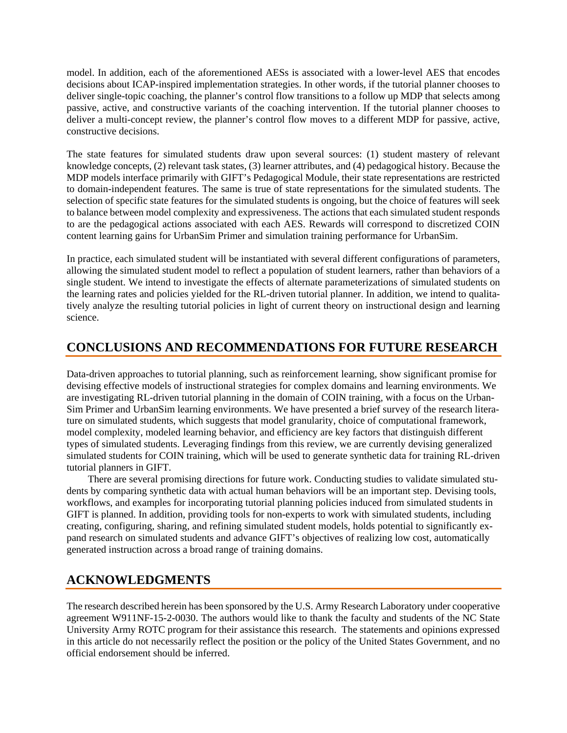model. In addition, each of the aforementioned AESs is associated with a lower-level AES that encodes decisions about ICAP-inspired implementation strategies. In other words, if the tutorial planner chooses to deliver single-topic coaching, the planner's control flow transitions to a follow up MDP that selects among passive, active, and constructive variants of the coaching intervention. If the tutorial planner chooses to deliver a multi-concept review, the planner's control flow moves to a different MDP for passive, active, constructive decisions.

The state features for simulated students draw upon several sources: (1) student mastery of relevant knowledge concepts, (2) relevant task states, (3) learner attributes, and (4) pedagogical history. Because the MDP models interface primarily with GIFT's Pedagogical Module, their state representations are restricted to domain-independent features. The same is true of state representations for the simulated students. The selection of specific state features for the simulated students is ongoing, but the choice of features will seek to balance between model complexity and expressiveness. The actions that each simulated student responds to are the pedagogical actions associated with each AES. Rewards will correspond to discretized COIN content learning gains for UrbanSim Primer and simulation training performance for UrbanSim.

In practice, each simulated student will be instantiated with several different configurations of parameters, allowing the simulated student model to reflect a population of student learners, rather than behaviors of a single student. We intend to investigate the effects of alternate parameterizations of simulated students on the learning rates and policies yielded for the RL-driven tutorial planner. In addition, we intend to qualitatively analyze the resulting tutorial policies in light of current theory on instructional design and learning science.

### **CONCLUSIONS AND RECOMMENDATIONS FOR FUTURE RESEARCH**

Data-driven approaches to tutorial planning, such as reinforcement learning, show significant promise for devising effective models of instructional strategies for complex domains and learning environments. We are investigating RL-driven tutorial planning in the domain of COIN training, with a focus on the Urban-Sim Primer and UrbanSim learning environments. We have presented a brief survey of the research literature on simulated students, which suggests that model granularity, choice of computational framework, model complexity, modeled learning behavior, and efficiency are key factors that distinguish different types of simulated students. Leveraging findings from this review, we are currently devising generalized simulated students for COIN training, which will be used to generate synthetic data for training RL-driven tutorial planners in GIFT.

There are several promising directions for future work. Conducting studies to validate simulated students by comparing synthetic data with actual human behaviors will be an important step. Devising tools, workflows, and examples for incorporating tutorial planning policies induced from simulated students in GIFT is planned. In addition, providing tools for non-experts to work with simulated students, including creating, configuring, sharing, and refining simulated student models, holds potential to significantly expand research on simulated students and advance GIFT's objectives of realizing low cost, automatically generated instruction across a broad range of training domains.

### **ACKNOWLEDGMENTS**

The research described herein has been sponsored by the U.S. Army Research Laboratory under cooperative agreement W911NF-15-2-0030. The authors would like to thank the faculty and students of the NC State University Army ROTC program for their assistance this research. The statements and opinions expressed in this article do not necessarily reflect the position or the policy of the United States Government, and no official endorsement should be inferred.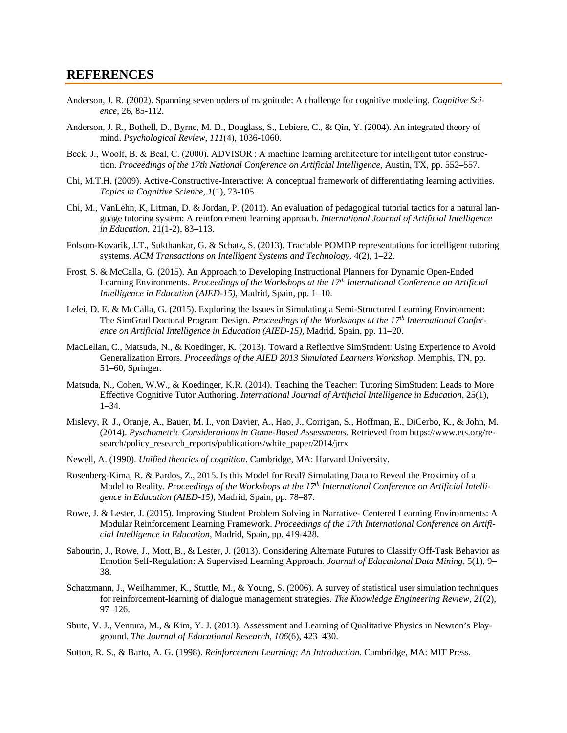#### **REFERENCES**

- Anderson, J. R. (2002). Spanning seven orders of magnitude: A challenge for cognitive modeling. *Cognitive Science*, 26, 85-112.
- Anderson, J. R., Bothell, D., Byrne, M. D., Douglass, S., Lebiere, C., & Qin, Y. (2004). An integrated theory of mind. *Psychological Review*, *111*(4), 1036-1060.
- Beck, J., Woolf, B. & Beal, C. (2000). ADVISOR : A machine learning architecture for intelligent tutor construction. *Proceedings of the 17th National Conference on Artificial Intelligence*, Austin, TX, pp. 552–557.
- Chi, M.T.H. (2009). Active-Constructive-Interactive: A conceptual framework of differentiating learning activities. *Topics in Cognitive Science*, *1*(1), 73-105.
- Chi, M., VanLehn, K, Litman, D. & Jordan, P. (2011). An evaluation of pedagogical tutorial tactics for a natural language tutoring system: A reinforcement learning approach. *International Journal of Artificial Intelligence in Education*, 21(1-2), 83–113.
- Folsom-Kovarik, J.T., Sukthankar, G. & Schatz, S. (2013). Tractable POMDP representations for intelligent tutoring systems. *ACM Transactions on Intelligent Systems and Technology*, 4(2), 1–22.
- Frost, S. & McCalla, G. (2015). An Approach to Developing Instructional Planners for Dynamic Open-Ended Learning Environments. *Proceedings of the Workshops at the 17th International Conference on Artificial Intelligence in Education (AIED-15)*, Madrid, Spain, pp. 1–10.
- Lelei, D. E. & McCalla, G. (2015). Exploring the Issues in Simulating a Semi-Structured Learning Environment: The SimGrad Doctoral Program Design. *Proceedings of the Workshops at the 17th International Conference on Artificial Intelligence in Education (AIED-15)*, Madrid, Spain, pp. 11–20.
- MacLellan, C., Matsuda, N., & Koedinger, K. (2013). Toward a Reflective SimStudent: Using Experience to Avoid Generalization Errors. *Proceedings of the AIED 2013 Simulated Learners Workshop*. Memphis, TN, pp. 51–60, Springer.
- Matsuda, N., Cohen, W.W., & Koedinger, K.R. (2014). Teaching the Teacher: Tutoring SimStudent Leads to More Effective Cognitive Tutor Authoring. *International Journal of Artificial Intelligence in Education*, 25(1), 1–34.
- Mislevy, R. J., Oranje, A., Bauer, M. I., von Davier, A., Hao, J., Corrigan, S., Hoffman, E., DiCerbo, K., & John, M. (2014). *Pyschometric Considerations in Game-Based Assessments*. Retrieved from https://www.ets.org/research/policy\_research\_reports/publications/white\_paper/2014/jrrx
- Newell, A. (1990). *Unified theories of cognition*. Cambridge, MA: Harvard University.
- Rosenberg-Kima, R. & Pardos, Z., 2015. Is this Model for Real? Simulating Data to Reveal the Proximity of a Model to Reality. *Proceedings of the Workshops at the 17th International Conference on Artificial Intelligence in Education (AIED-15)*, Madrid, Spain, pp. 78–87.
- Rowe, J. & Lester, J. (2015). Improving Student Problem Solving in Narrative- Centered Learning Environments: A Modular Reinforcement Learning Framework. *Proceedings of the 17th International Conference on Artificial Intelligence in Education*, Madrid, Spain, pp. 419-428.
- Sabourin, J., Rowe, J., Mott, B., & Lester, J. (2013). Considering Alternate Futures to Classify Off-Task Behavior as Emotion Self-Regulation: A Supervised Learning Approach. *Journal of Educational Data Mining*, 5(1), 9– 38.
- Schatzmann, J., Weilhammer, K., Stuttle, M., & Young, S. (2006). A survey of statistical user simulation techniques for reinforcement-learning of dialogue management strategies. *The Knowledge Engineering Review*, *21*(2), 97–126.
- Shute, V. J., Ventura, M., & Kim, Y. J. (2013). Assessment and Learning of Qualitative Physics in Newton's Playground. *The Journal of Educational Research*, *106*(6), 423–430.
- Sutton, R. S., & Barto, A. G. (1998). *Reinforcement Learning: An Introduction*. Cambridge, MA: MIT Press.